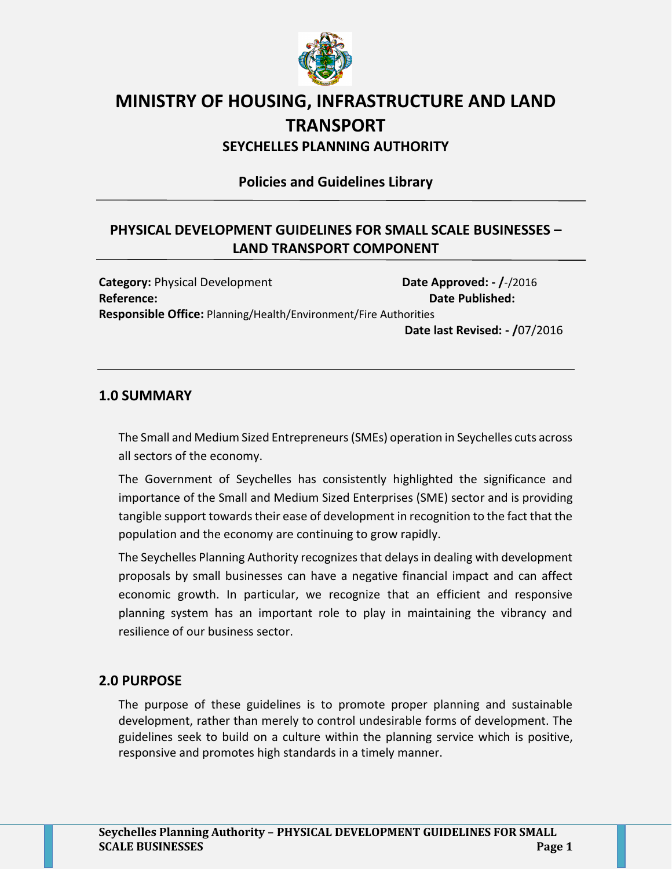

# **MINISTRY OF HOUSING, INFRASTRUCTURE AND LAND TRANSPORT**

**SEYCHELLES PLANNING AUTHORITY**

**Policies and Guidelines Library**

# **PHYSICAL DEVELOPMENT GUIDELINES FOR SMALL SCALE BUSINESSES – LAND TRANSPORT COMPONENT**

**Category:** Physical Development **Date Approved: - /**-/2016 **Reference: Date Published: Responsible Office:** Planning/Health/Environment/Fire Authorities

**Date last Revised: - /**07/2016

### **1.0 SUMMARY**

The Small and Medium Sized Entrepreneurs (SMEs) operation in Seychelles cuts across all sectors of the economy.

The Government of Seychelles has consistently highlighted the significance and importance of the Small and Medium Sized Enterprises (SME) sector and is providing tangible support towards their ease of development in recognition to the fact that the population and the economy are continuing to grow rapidly.

The Seychelles Planning Authority recognizes that delays in dealing with development proposals by small businesses can have a negative financial impact and can affect economic growth. In particular, we recognize that an efficient and responsive planning system has an important role to play in maintaining the vibrancy and resilience of our business sector.

## **2.0 PURPOSE**

The purpose of these guidelines is to promote proper planning and sustainable development, rather than merely to control undesirable forms of development. The guidelines seek to build on a culture within the planning service which is positive, responsive and promotes high standards in a timely manner.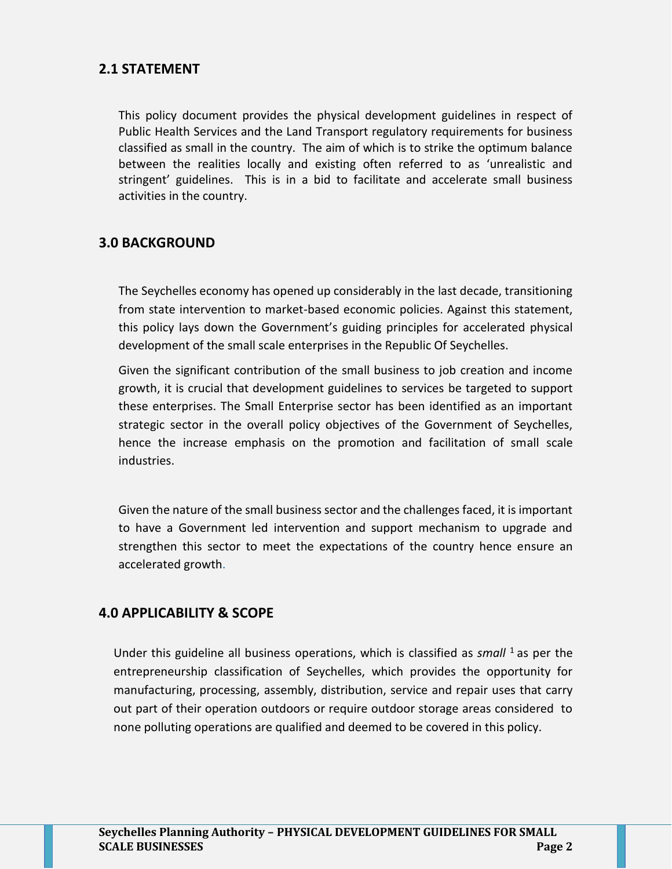## **2.1 STATEMENT**

This policy document provides the physical development guidelines in respect of Public Health Services and the Land Transport regulatory requirements for business classified as small in the country. The aim of which is to strike the optimum balance between the realities locally and existing often referred to as 'unrealistic and stringent' guidelines. This is in a bid to facilitate and accelerate small business activities in the country.

### **3.0 BACKGROUND**

The Seychelles economy has opened up considerably in the last decade, transitioning from state intervention to market-based economic policies. Against this statement, this policy lays down the Government's guiding principles for accelerated physical development of the small scale enterprises in the Republic Of Seychelles.

Given the significant contribution of the small business to job creation and income growth, it is crucial that development guidelines to services be targeted to support these enterprises. The Small Enterprise sector has been identified as an important strategic sector in the overall policy objectives of the Government of Seychelles, hence the increase emphasis on the promotion and facilitation of small scale industries.

Given the nature of the small business sector and the challenges faced, it is important to have a Government led intervention and support mechanism to upgrade and strengthen this sector to meet the expectations of the country hence ensure an accelerated growth.

#### **4.0 APPLICABILITY & SCOPE**

Under this guideline all business operations, which is classified as *small* <sup>1</sup>as per the entrepreneurship classification of Seychelles, which provides the opportunity for manufacturing, processing, assembly, distribution, service and repair uses that carry out part of their operation outdoors or require outdoor storage areas considered to none polluting operations are qualified and deemed to be covered in this policy.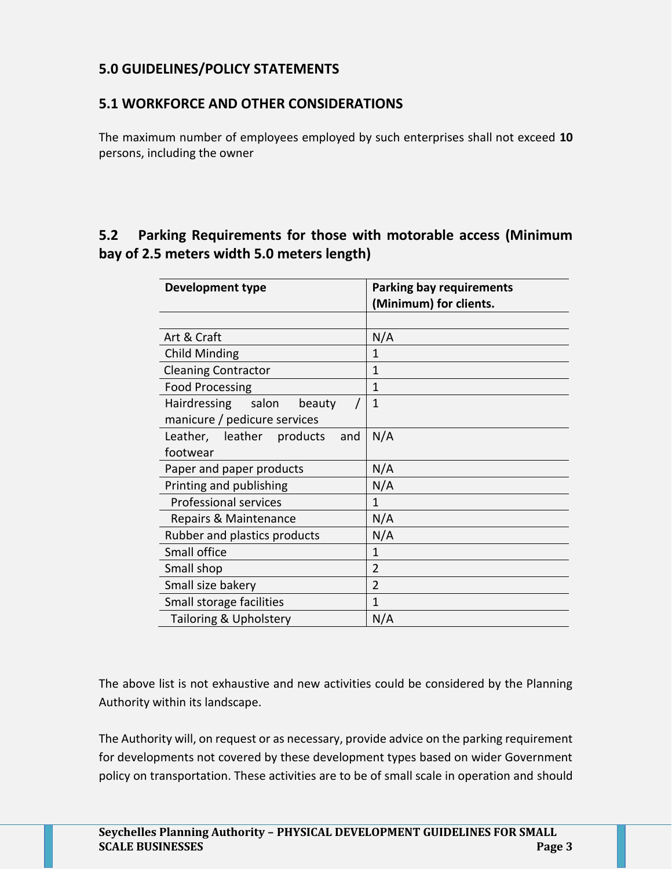## **5.0 GUIDELINES/POLICY STATEMENTS**

## **5.1 WORKFORCE AND OTHER CONSIDERATIONS**

The maximum number of employees employed by such enterprises shall not exceed **10** persons, including the owner

## **5.2 Parking Requirements for those with motorable access (Minimum bay of 2.5 meters width 5.0 meters length)**

| <b>Development type</b>          | <b>Parking bay requirements</b><br>(Minimum) for clients. |
|----------------------------------|-----------------------------------------------------------|
|                                  |                                                           |
| Art & Craft                      | N/A                                                       |
| Child Minding                    | 1                                                         |
| <b>Cleaning Contractor</b>       | 1                                                         |
| <b>Food Processing</b>           | 1                                                         |
| Hairdressing salon<br>beauty     | 1                                                         |
| manicure / pedicure services     |                                                           |
| Leather, leather products<br>and | N/A                                                       |
| footwear                         |                                                           |
| Paper and paper products         | N/A                                                       |
| Printing and publishing          | N/A                                                       |
| <b>Professional services</b>     | 1                                                         |
| Repairs & Maintenance            | N/A                                                       |
| Rubber and plastics products     | N/A                                                       |
| Small office                     | 1                                                         |
| Small shop                       | $\overline{2}$                                            |
| Small size bakery                | $\overline{2}$                                            |
| Small storage facilities         | 1                                                         |
| Tailoring & Upholstery           | N/A                                                       |

The above list is not exhaustive and new activities could be considered by the Planning Authority within its landscape.

The Authority will, on request or as necessary, provide advice on the parking requirement for developments not covered by these development types based on wider Government policy on transportation. These activities are to be of small scale in operation and should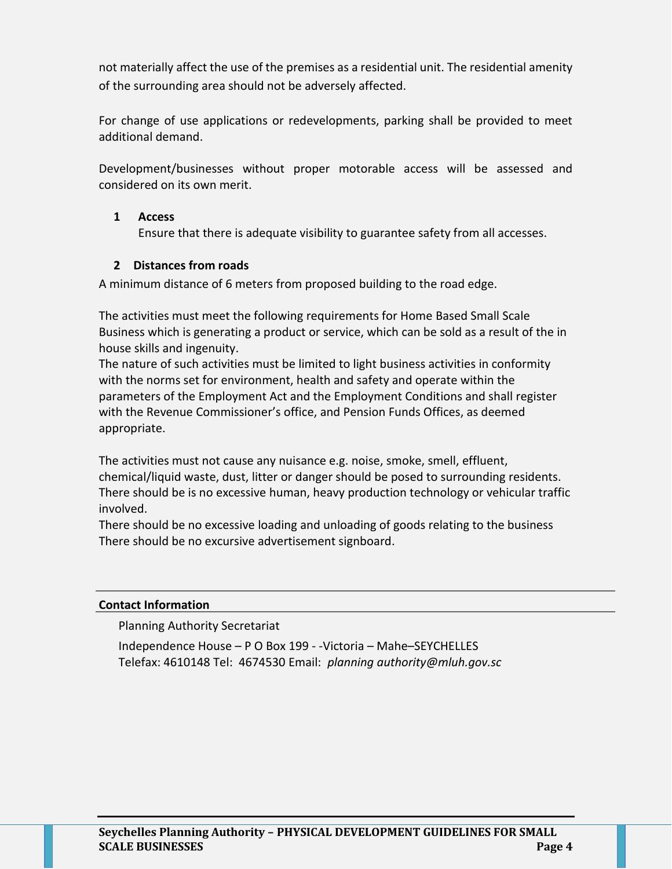not materially affect the use of the premises as a residential unit. The residential amenity of the surrounding area should not be adversely affected.

For change of use applications or redevelopments, parking shall be provided to meet additional demand.

Development/businesses without proper motorable access will be assessed and considered on its own merit.

#### **1 Access**

Ensure that there is adequate visibility to guarantee safety from all accesses.

#### **2 Distances from roads**

A minimum distance of 6 meters from proposed building to the road edge.

The activities must meet the following requirements for Home Based Small Scale Business which is generating a product or service, which can be sold as a result of the in house skills and ingenuity.

The nature of such activities must be limited to light business activities in conformity with the norms set for environment, health and safety and operate within the parameters of the Employment Act and the Employment Conditions and shall register with the Revenue Commissioner's office, and Pension Funds Offices, as deemed appropriate.

The activities must not cause any nuisance e.g. noise, smoke, smell, effluent, chemical/liquid waste, dust, litter or danger should be posed to surrounding residents. There should be is no excessive human, heavy production technology or vehicular traffic involved.

There should be no excessive loading and unloading of goods relating to the business There should be no excursive advertisement signboard.

#### **Contact Information**

Planning Authority Secretariat

Independence House – P O Box 199 - -Victoria – Mahe–SEYCHELLES Telefax: 4610148 Tel: 4674530 Email: *planning authorit[y@mluh.gov.sc](mailto:ghoareau@mluh.gov.sc)*